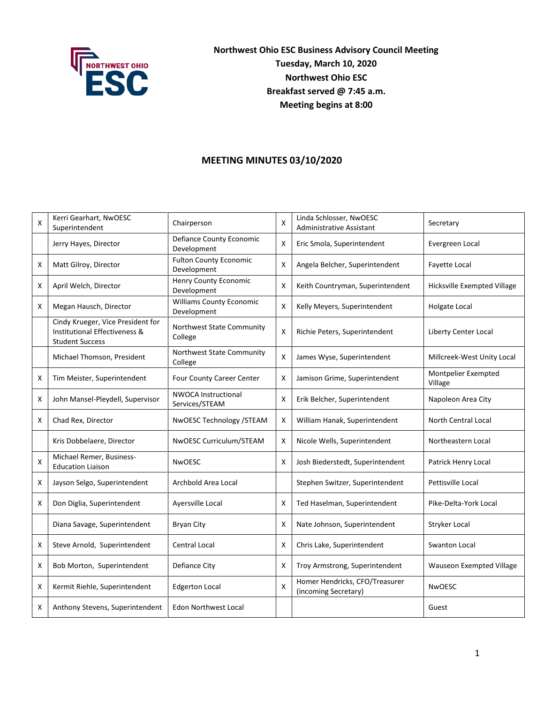

**Northwest Ohio ESC Business Advisory Council Meeting Tuesday, March 10, 2020 Northwest Ohio ESC Breakfast served @ 7:45 a.m. Meeting begins at 8:00**

## **MEETING MINUTES 03/10/2020**

| x | Kerri Gearhart, NwOESC<br>Superintendent                                                     | Chairperson                                    | X              | Linda Schlosser, NwOESC<br><b>Administrative Assistant</b> | Secretary                      |
|---|----------------------------------------------------------------------------------------------|------------------------------------------------|----------------|------------------------------------------------------------|--------------------------------|
|   | Jerry Hayes, Director                                                                        | <b>Defiance County Economic</b><br>Development | X              | Eric Smola, Superintendent                                 | Evergreen Local                |
| x | Matt Gilroy, Director                                                                        | <b>Fulton County Economic</b><br>Development   | X              | Angela Belcher, Superintendent                             | Fayette Local                  |
| X | April Welch, Director                                                                        | Henry County Economic<br>Development           | X              | Keith Countryman, Superintendent                           | Hicksville Exempted Village    |
| X | Megan Hausch, Director                                                                       | <b>Williams County Economic</b><br>Development | $\pmb{\times}$ | Kelly Meyers, Superintendent                               | Holgate Local                  |
|   | Cindy Krueger, Vice President for<br>Institutional Effectiveness &<br><b>Student Success</b> | Northwest State Community<br>College           | X              | Richie Peters, Superintendent                              | Liberty Center Local           |
|   | Michael Thomson, President                                                                   | Northwest State Community<br>College           | X              | James Wyse, Superintendent                                 | Millcreek-West Unity Local     |
| х | Tim Meister, Superintendent                                                                  | Four County Career Center                      | X              | Jamison Grime, Superintendent                              | Montpelier Exempted<br>Village |
| X | John Mansel-Pleydell, Supervisor                                                             | <b>NWOCA Instructional</b><br>Services/STEAM   | Χ              | Erik Belcher, Superintendent                               | Napoleon Area City             |
| X | Chad Rex, Director                                                                           | NwOESC Technology /STEAM                       | X              | William Hanak, Superintendent                              | <b>North Central Local</b>     |
|   | Kris Dobbelaere, Director                                                                    | NwOESC Curriculum/STEAM                        | Χ              | Nicole Wells, Superintendent                               | Northeastern Local             |
| X | Michael Remer, Business-<br><b>Education Liaison</b>                                         | <b>NwOESC</b>                                  | X              | Josh Biederstedt, Superintendent                           | Patrick Henry Local            |
| X | Jayson Selgo, Superintendent                                                                 | Archbold Area Local                            |                | Stephen Switzer, Superintendent                            | Pettisville Local              |
| x | Don Diglia, Superintendent                                                                   | Ayersville Local                               | X              | Ted Haselman, Superintendent                               | Pike-Delta-York Local          |
|   | Diana Savage, Superintendent                                                                 | <b>Bryan City</b>                              | X              | Nate Johnson, Superintendent                               | Stryker Local                  |
| X | Steve Arnold, Superintendent                                                                 | <b>Central Local</b>                           | X              | Chris Lake, Superintendent                                 | <b>Swanton Local</b>           |
| X | Bob Morton, Superintendent                                                                   | Defiance City                                  | X              | Troy Armstrong, Superintendent                             | Wauseon Exempted Village       |
| X | Kermit Riehle, Superintendent                                                                | <b>Edgerton Local</b>                          | $\pmb{\times}$ | Homer Hendricks, CFO/Treasurer<br>(incoming Secretary)     | <b>NwOESC</b>                  |
| x | Anthony Stevens, Superintendent                                                              | <b>Edon Northwest Local</b>                    |                |                                                            | Guest                          |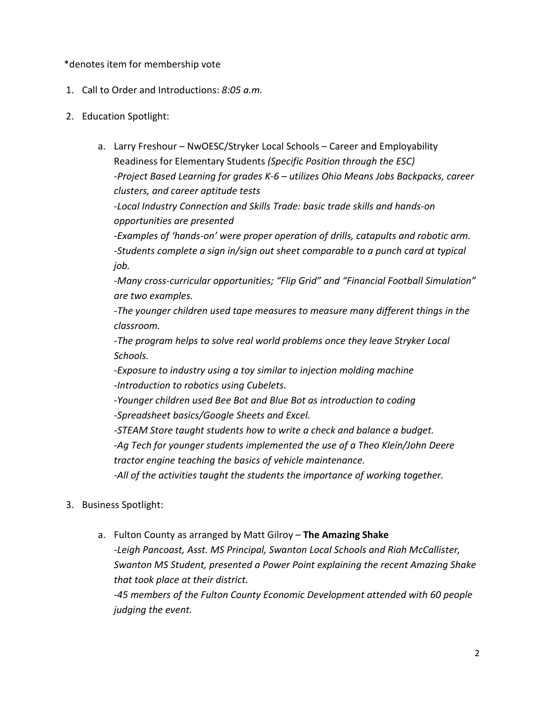## \*denotes item for membership vote

- 1. Call to Order and Introductions: *8:05 a.m.*
- 2. Education Spotlight:
	- a. Larry Freshour NwOESC/Stryker Local Schools Career and Employability Readiness for Elementary Students *(Specific Position through the ESC) -Project Based Learning for grades K-6 – utilizes Ohio Means Jobs Backpacks, career clusters, and career aptitude tests -Local Industry Connection and Skills Trade: basic trade skills and hands-on* 
		- *opportunities are presented*

*-Examples of 'hands-on' were proper operation of drills, catapults and robotic arm. -Students complete a sign in/sign out sheet comparable to a punch card at typical job.*

*-Many cross-curricular opportunities; "Flip Grid" and "Financial Football Simulation" are two examples.*

*-The younger children used tape measures to measure many different things in the classroom.*

*-The program helps to solve real world problems once they leave Stryker Local Schools.*

*-Exposure to industry using a toy similar to injection molding machine -Introduction to robotics using Cubelets.*

*-Younger children used Bee Bot and Blue Bot as introduction to coding -Spreadsheet basics/Google Sheets and Excel.*

*-STEAM Store taught students how to write a check and balance a budget. -Ag Tech for younger students implemented the use of a Theo Klein/John Deere tractor engine teaching the basics of vehicle maintenance.*

*-All of the activities taught the students the importance of working together.*

- 3. Business Spotlight:
	- a. Fulton County as arranged by Matt Gilroy **The Amazing Shake** *-Leigh Pancoast, Asst. MS Principal, Swanton Local Schools and Riah McCallister, Swanton MS Student, presented a Power Point explaining the recent Amazing Shake that took place at their district. -45 members of the Fulton County Economic Development attended with 60 people*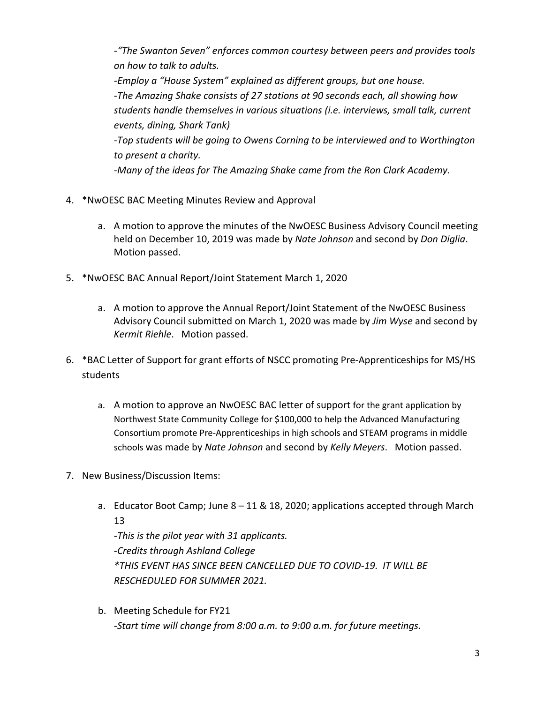*-"The Swanton Seven" enforces common courtesy between peers and provides tools on how to talk to adults. -Employ a "House System" explained as different groups, but one house. -The Amazing Shake consists of 27 stations at 90 seconds each, all showing how students handle themselves in various situations (i.e. interviews, small talk, current events, dining, Shark Tank) -Top students will be going to Owens Corning to be interviewed and to Worthington to present a charity.* 

*-Many of the ideas for The Amazing Shake came from the Ron Clark Academy.*

- 4. \*NwOESC BAC Meeting Minutes Review and Approval
	- a. A motion to approve the minutes of the NwOESC Business Advisory Council meeting held on December 10, 2019 was made by *Nate Johnson* and second by *Don Diglia*. Motion passed.
- 5. \*NwOESC BAC Annual Report/Joint Statement March 1, 2020
	- a. A motion to approve the Annual Report/Joint Statement of the NwOESC Business Advisory Council submitted on March 1, 2020 was made by *Jim Wyse* and second by *Kermit Riehle*. Motion passed.
- 6. \*BAC Letter of Support for grant efforts of NSCC promoting Pre-Apprenticeships for MS/HS students
	- a. A motion to approve an NwOESC BAC letter of support for the grant application by Northwest State Community College for \$100,000 to help the Advanced Manufacturing Consortium promote Pre-Apprenticeships in high schools and STEAM programs in middle schools was made by *Nate Johnson* and second by *Kelly Meyers*. Motion passed.
- 7. New Business/Discussion Items:
	- a. Educator Boot Camp; June 8 11 & 18, 2020; applications accepted through March 13

*-This is the pilot year with 31 applicants. -Credits through Ashland College \*THIS EVENT HAS SINCE BEEN CANCELLED DUE TO COVID-19. IT WILL BE RESCHEDULED FOR SUMMER 2021.*

b. Meeting Schedule for FY21 *-Start time will change from 8:00 a.m. to 9:00 a.m. for future meetings.*